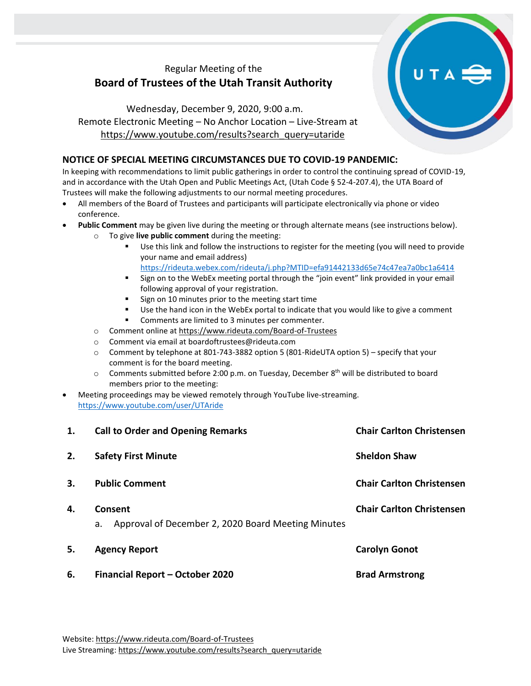## Regular Meeting of the **Board of Trustees of the Utah Transit Authority**

## Wednesday, December 9, 2020, 9:00 a.m. Remote Electronic Meeting – No Anchor Location – Live-Stream at [https://www.youtube.com/results?search\\_query=utaride](https://www.youtube.com/results?search_query=utaride)

## **NOTICE OF SPECIAL MEETING CIRCUMSTANCES DUE TO COVID-19 PANDEMIC:**

In keeping with recommendations to limit public gatherings in order to control the continuing spread of COVID-19, and in accordance with the Utah Open and Public Meetings Act, (Utah Code § 52-4-207.4), the UTA Board of Trustees will make the following adjustments to our normal meeting procedures.

- All members of the Board of Trustees and participants will participate electronically via phone or video conference.
- **Public Comment** may be given live during the meeting or through alternate means (see instructions below).
	- o To give **live public comment** during the meeting:
		- Use this link and follow the instructions to register for the meeting (you will need to provide your name and email address) <https://rideuta.webex.com/rideuta/j.php?MTID=efa91442133d65e74c47ea7a0bc1a6414>
		- Sign on to the WebEx meeting portal through the "join event" link provided in your email following approval of your registration.
		- Sign on 10 minutes prior to the meeting start time
		- Use the hand icon in the WebEx portal to indicate that you would like to give a comment
		- Comments are limited to 3 minutes per commenter.
	- o Comment online a[t https://www.rideuta.com/Board-of-Trustees](https://www.rideuta.com/Board-of-Trustees)
	- o Comment via email at [boardoftrustees@rideuta.com](mailto:boardoftrustees@rideuta.com)
	- o Comment by telephone at 801-743-3882 option 5 (801-RideUTA option 5) specify that your comment is for the board meeting.
	- $\circ$  Comments submitted before 2:00 p.m. on Tuesday, December 8<sup>th</sup> will be distributed to board members prior to the meeting:
- Meeting proceedings may be viewed remotely through YouTube live-streaming. <https://www.youtube.com/user/UTAride>

| 1. | <b>Call to Order and Opening Remarks</b>                            | <b>Chair Carlton Christensen</b> |
|----|---------------------------------------------------------------------|----------------------------------|
| 2. | <b>Safety First Minute</b>                                          | <b>Sheldon Shaw</b>              |
| 3. | <b>Public Comment</b>                                               | <b>Chair Carlton Christensen</b> |
| 4. | Consent<br>Approval of December 2, 2020 Board Meeting Minutes<br>a. | <b>Chair Carlton Christensen</b> |
| 5. | <b>Agency Report</b>                                                | <b>Carolyn Gonot</b>             |
| 6. | <b>Financial Report - October 2020</b>                              | <b>Brad Armstrong</b>            |